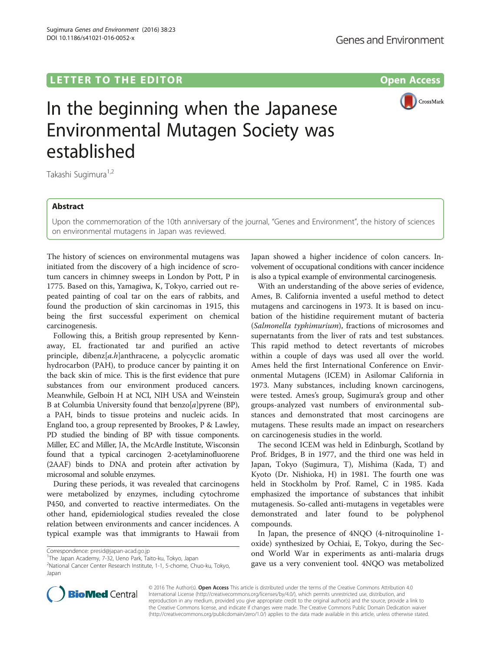## LETTER TO THE EDITOR **CONSIDERING A CONSIDERATION**

Sugimura Genes and Environment (2016) 38:23

DOI 10.1186/s41021-016-0052-x



# In the beginning when the Japanese Environmental Mutagen Society was established

Takashi Sugimura<sup>1,2</sup>

#### Abstract

Upon the commemoration of the 10th anniversary of the journal, "Genes and Environment", the history of sciences on environmental mutagens in Japan was reviewed.

The history of sciences on environmental mutagens was initiated from the discovery of a high incidence of scrotum cancers in chimney sweeps in London by Pott, P in 1775. Based on this, Yamagiwa, K, Tokyo, carried out repeated painting of coal tar on the ears of rabbits, and found the production of skin carcinomas in 1915, this being the first successful experiment on chemical carcinogenesis.

Following this, a British group represented by Kennaway, EL fractionated tar and purified an active principle, dibenz[a.h]anthracene, a polycyclic aromatic hydrocarbon (PAH), to produce cancer by painting it on the back skin of mice. This is the first evidence that pure substances from our environment produced cancers. Meanwhile, Gelboin H at NCI, NIH USA and Weinstein B at Columbia University found that  $benzo[a]py$ rene (BP), a PAH, binds to tissue proteins and nucleic acids. In England too, a group represented by Brookes, P & Lawley, PD studied the binding of BP with tissue components. Miller, EC and Miller, JA, the McArdle Institute, Wisconsin found that a typical carcinogen 2-acetylaminofluorene (2AAF) binds to DNA and protein after activation by microsomal and soluble enzymes.

During these periods, it was revealed that carcinogens were metabolized by enzymes, including cytochrome P450, and converted to reactive intermediates. On the other hand, epidemiological studies revealed the close relation between environments and cancer incidences. A typical example was that immigrants to Hawaii from Japan showed a higher incidence of colon cancers. Involvement of occupational conditions with cancer incidence is also a typical example of environmental carcinogenesis.

With an understanding of the above series of evidence, Ames, B. California invented a useful method to detect mutagens and carcinogens in 1973. It is based on incubation of the histidine requirement mutant of bacteria (Salmonella typhimurium), fractions of microsomes and supernatants from the liver of rats and test substances. This rapid method to detect revertants of microbes within a couple of days was used all over the world. Ames held the first International Conference on Environmental Mutagens (ICEM) in Asilomar California in 1973. Many substances, including known carcinogens, were tested. Ames's group, Sugimura's group and other groups-analyzed vast numbers of environmental substances and demonstrated that most carcinogens are mutagens. These results made an impact on researchers on carcinogenesis studies in the world.

The second ICEM was held in Edinburgh, Scotland by Prof. Bridges, B in 1977, and the third one was held in Japan, Tokyo (Sugimura, T), Mishima (Kada, T) and Kyoto (Dr. Nishioka, H) in 1981. The fourth one was held in Stockholm by Prof. Ramel, C in 1985. Kada emphasized the importance of substances that inhibit mutagenesis. So-called anti-mutagens in vegetables were demonstrated and later found to be polyphenol compounds.

In Japan, the presence of 4NQO (4-nitroquinoline 1 oxide) synthesized by Ochiai, E, Tokyo, during the Second World War in experiments as anti-malaria drugs gave us a very convenient tool. 4NQO was metabolized



© 2016 The Author(s). Open Access This article is distributed under the terms of the Creative Commons Attribution 4.0 International License [\(http://creativecommons.org/licenses/by/4.0/](http://creativecommons.org/licenses/by/4.0/)), which permits unrestricted use, distribution, and reproduction in any medium, provided you give appropriate credit to the original author(s) and the source, provide a link to the Creative Commons license, and indicate if changes were made. The Creative Commons Public Domain Dedication waiver [\(http://creativecommons.org/publicdomain/zero/1.0/](http://creativecommons.org/publicdomain/zero/1.0/)) applies to the data made available in this article, unless otherwise stated.

Correspondence: [presid@japan-acad.go.jp](mailto:presid@japan-acad.go.jp) <sup>1</sup>

<sup>&</sup>lt;sup>1</sup>The Japan Academy, 7-32, Ueno Park, Taito-ku, Tokyo, Japan

<sup>2</sup> National Cancer Center Research Institute, 1-1, 5-chome, Chuo-ku, Tokyo, Japan